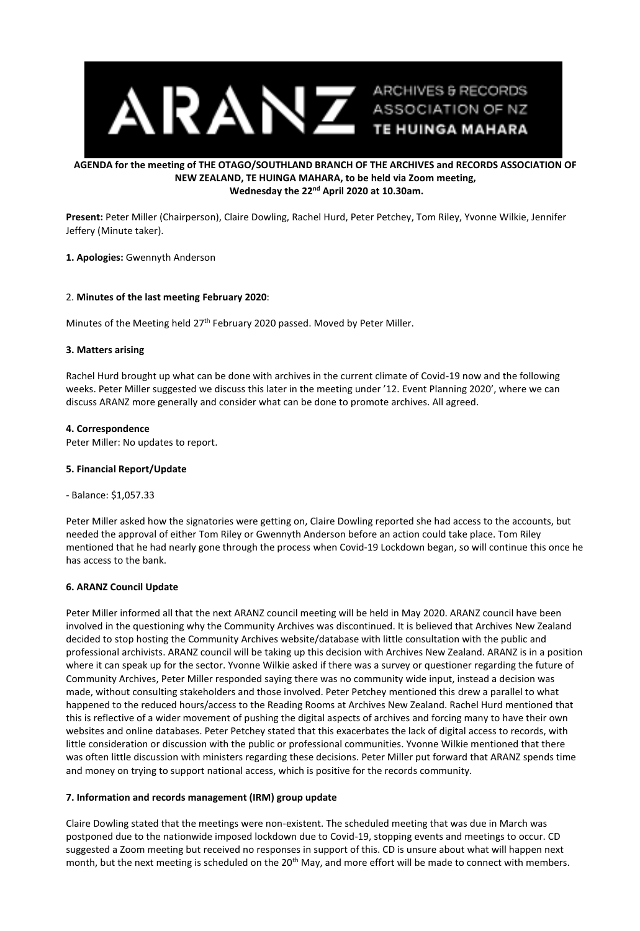

# **AGENDA for the meeting of THE OTAGO/SOUTHLAND BRANCH OF THE ARCHIVES and RECORDS ASSOCIATION OF NEW ZEALAND, TE HUINGA MAHARA, to be held via Zoom meeting, Wednesday the 22nd April 2020 at 10.30am.**

**Present:** Peter Miller (Chairperson), Claire Dowling, Rachel Hurd, Peter Petchey, Tom Riley, Yvonne Wilkie, Jennifer Jeffery (Minute taker).

#### **1. Apologies:** Gwennyth Anderson

#### 2. **Minutes of the last meeting February 2020**:

Minutes of the Meeting held 27<sup>th</sup> February 2020 passed. Moved by Peter Miller.

#### **3. Matters arising**

Rachel Hurd brought up what can be done with archives in the current climate of Covid-19 now and the following weeks. Peter Miller suggested we discuss this later in the meeting under '12. Event Planning 2020', where we can discuss ARANZ more generally and consider what can be done to promote archives. All agreed.

#### **4. Correspondence**

Peter Miller: No updates to report.

#### **5. Financial Report/Update**

- Balance: \$1,057.33

Peter Miller asked how the signatories were getting on, Claire Dowling reported she had access to the accounts, but needed the approval of either Tom Riley or Gwennyth Anderson before an action could take place. Tom Riley mentioned that he had nearly gone through the process when Covid-19 Lockdown began, so will continue this once he has access to the bank.

## **6. ARANZ Council Update**

Peter Miller informed all that the next ARANZ council meeting will be held in May 2020. ARANZ council have been involved in the questioning why the Community Archives was discontinued. It is believed that Archives New Zealand decided to stop hosting the Community Archives website/database with little consultation with the public and professional archivists. ARANZ council will be taking up this decision with Archives New Zealand. ARANZ is in a position where it can speak up for the sector. Yvonne Wilkie asked if there was a survey or questioner regarding the future of Community Archives, Peter Miller responded saying there was no community wide input, instead a decision was made, without consulting stakeholders and those involved. Peter Petchey mentioned this drew a parallel to what happened to the reduced hours/access to the Reading Rooms at Archives New Zealand. Rachel Hurd mentioned that this is reflective of a wider movement of pushing the digital aspects of archives and forcing many to have their own websites and online databases. Peter Petchey stated that this exacerbates the lack of digital access to records, with little consideration or discussion with the public or professional communities. Yvonne Wilkie mentioned that there was often little discussion with ministers regarding these decisions. Peter Miller put forward that ARANZ spends time and money on trying to support national access, which is positive for the records community.

## **7. Information and records management (IRM) group update**

Claire Dowling stated that the meetings were non-existent. The scheduled meeting that was due in March was postponed due to the nationwide imposed lockdown due to Covid-19, stopping events and meetings to occur. CD suggested a Zoom meeting but received no responses in support of this. CD is unsure about what will happen next month, but the next meeting is scheduled on the 20<sup>th</sup> May, and more effort will be made to connect with members.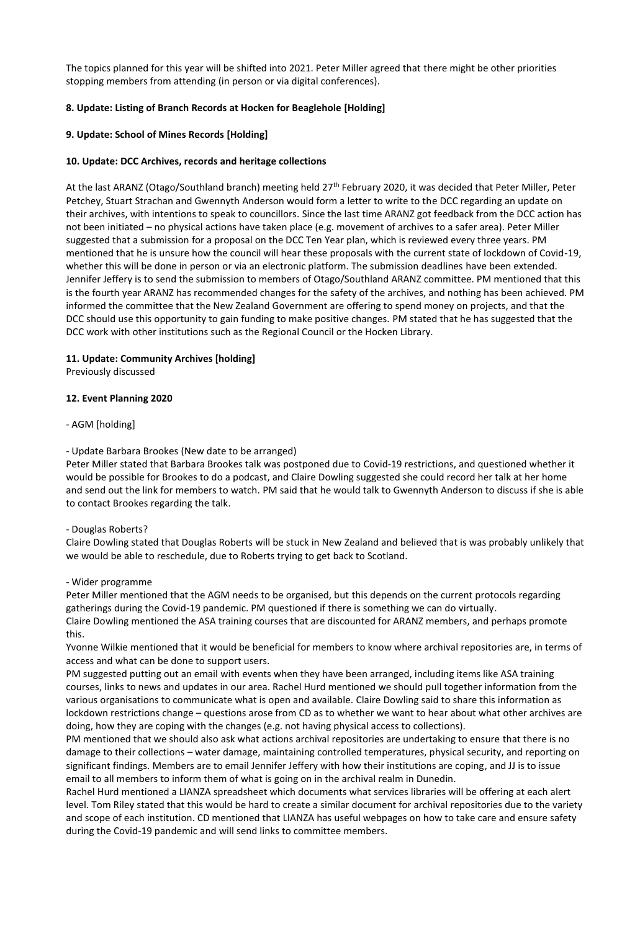The topics planned for this year will be shifted into 2021. Peter Miller agreed that there might be other priorities stopping members from attending (in person or via digital conferences).

# **8. Update: Listing of Branch Records at Hocken for Beaglehole [Holding]**

# **9. Update: School of Mines Records [Holding]**

## **10. Update: DCC Archives, records and heritage collections**

At the last ARANZ (Otago/Southland branch) meeting held 27<sup>th</sup> February 2020, it was decided that Peter Miller, Peter Petchey, Stuart Strachan and Gwennyth Anderson would form a letter to write to the DCC regarding an update on their archives, with intentions to speak to councillors. Since the last time ARANZ got feedback from the DCC action has not been initiated – no physical actions have taken place (e.g. movement of archives to a safer area). Peter Miller suggested that a submission for a proposal on the DCC Ten Year plan, which is reviewed every three years. PM mentioned that he is unsure how the council will hear these proposals with the current state of lockdown of Covid-19, whether this will be done in person or via an electronic platform. The submission deadlines have been extended. Jennifer Jeffery is to send the submission to members of Otago/Southland ARANZ committee. PM mentioned that this is the fourth year ARANZ has recommended changes for the safety of the archives, and nothing has been achieved. PM informed the committee that the New Zealand Government are offering to spend money on projects, and that the DCC should use this opportunity to gain funding to make positive changes. PM stated that he has suggested that the DCC work with other institutions such as the Regional Council or the Hocken Library.

## **11. Update: Community Archives [holding]**

Previously discussed

## **12. Event Planning 2020**

- AGM [holding]

## - Update Barbara Brookes (New date to be arranged)

Peter Miller stated that Barbara Brookes talk was postponed due to Covid-19 restrictions, and questioned whether it would be possible for Brookes to do a podcast, and Claire Dowling suggested she could record her talk at her home and send out the link for members to watch. PM said that he would talk to Gwennyth Anderson to discuss if she is able to contact Brookes regarding the talk.

#### - Douglas Roberts?

Claire Dowling stated that Douglas Roberts will be stuck in New Zealand and believed that is was probably unlikely that we would be able to reschedule, due to Roberts trying to get back to Scotland.

#### - Wider programme

Peter Miller mentioned that the AGM needs to be organised, but this depends on the current protocols regarding gatherings during the Covid-19 pandemic. PM questioned if there is something we can do virtually. Claire Dowling mentioned the ASA training courses that are discounted for ARANZ members, and perhaps promote this.

Yvonne Wilkie mentioned that it would be beneficial for members to know where archival repositories are, in terms of access and what can be done to support users.

PM suggested putting out an email with events when they have been arranged, including items like ASA training courses, links to news and updates in our area. Rachel Hurd mentioned we should pull together information from the various organisations to communicate what is open and available. Claire Dowling said to share this information as lockdown restrictions change – questions arose from CD as to whether we want to hear about what other archives are doing, how they are coping with the changes (e.g. not having physical access to collections).

PM mentioned that we should also ask what actions archival repositories are undertaking to ensure that there is no damage to their collections – water damage, maintaining controlled temperatures, physical security, and reporting on significant findings. Members are to email Jennifer Jeffery with how their institutions are coping, and JJ is to issue email to all members to inform them of what is going on in the archival realm in Dunedin.

Rachel Hurd mentioned a LIANZA spreadsheet which documents what services libraries will be offering at each alert level. Tom Riley stated that this would be hard to create a similar document for archival repositories due to the variety and scope of each institution. CD mentioned that LIANZA has useful webpages on how to take care and ensure safety during the Covid-19 pandemic and will send links to committee members.